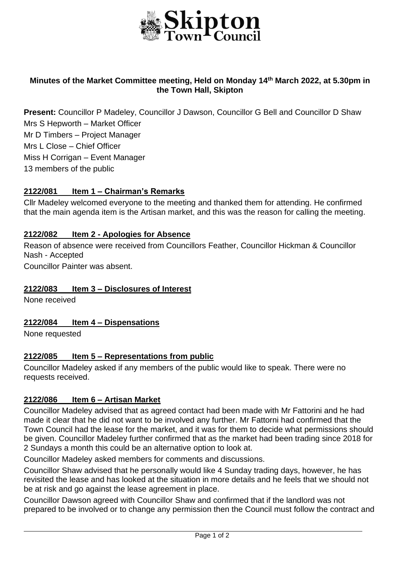

## **Minutes of the Market Committee meeting, Held on Monday 14th March 2022, at 5.30pm in the Town Hall, Skipton**

**Present:** Councillor P Madeley, Councillor J Dawson, Councillor G Bell and Councillor D Shaw Mrs S Hepworth – Market Officer Mr D Timbers – Project Manager Mrs L Close – Chief Officer Miss H Corrigan – Event Manager 13 members of the public

### **2122/081 Item 1 – Chairman's Remarks**

Cllr Madeley welcomed everyone to the meeting and thanked them for attending. He confirmed that the main agenda item is the Artisan market, and this was the reason for calling the meeting.

#### **2122/082 Item 2 - Apologies for Absence**

Reason of absence were received from Councillors Feather, Councillor Hickman & Councillor Nash - Accepted

Councillor Painter was absent.

#### **2122/083 Item 3 – Disclosures of Interest**

None received

#### **2122/084 Item 4 – Dispensations**

None requested

#### **2122/085 Item 5 – Representations from public**

Councillor Madeley asked if any members of the public would like to speak. There were no requests received.

#### **2122/086 Item 6 – Artisan Market**

Councillor Madeley advised that as agreed contact had been made with Mr Fattorini and he had made it clear that he did not want to be involved any further. Mr Fattorni had confirmed that the Town Council had the lease for the market, and it was for them to decide what permissions should be given. Councillor Madeley further confirmed that as the market had been trading since 2018 for 2 Sundays a month this could be an alternative option to look at.

Councillor Madeley asked members for comments and discussions.

Councillor Shaw advised that he personally would like 4 Sunday trading days, however, he has revisited the lease and has looked at the situation in more details and he feels that we should not be at risk and go against the lease agreement in place.

Councillor Dawson agreed with Councillor Shaw and confirmed that if the landlord was not prepared to be involved or to change any permission then the Council must follow the contract and

j.